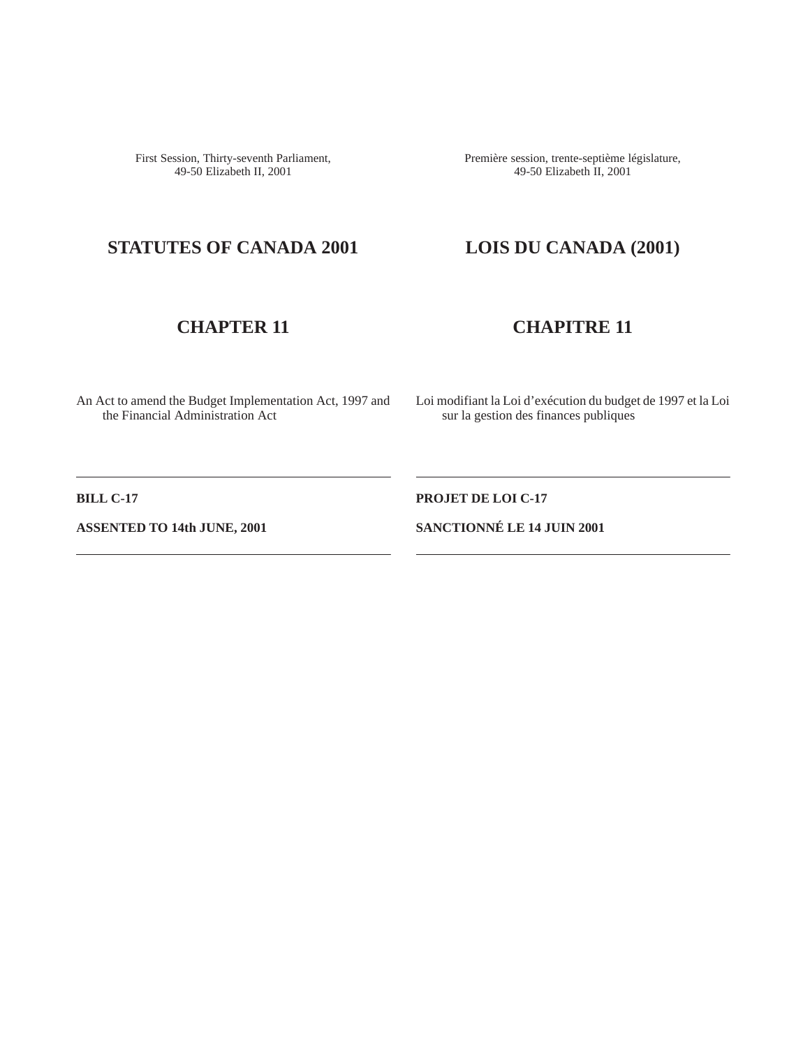First Session, Thirty-seventh Parliament, 49-50 Elizabeth II, 2001

Première session, trente-septième législature, 49-50 Elizabeth II, 2001

# **STATUTES OF CANADA 2001 LOIS DU CANADA (2001)**

## **CHAPTER 11 CHAPITRE 11**

An Act to amend the Budget Implementation Act, 1997 and the Financial Administration Act

Loi modifiant la Loi d'exécution du budget de 1997 et la Loi sur la gestion des finances publiques

**BILL C-17** PROJET DE LOI C-17

**ASSENTED TO 14th JUNE, 2001 SANCTIONNÉ LE 14 JUIN 2001**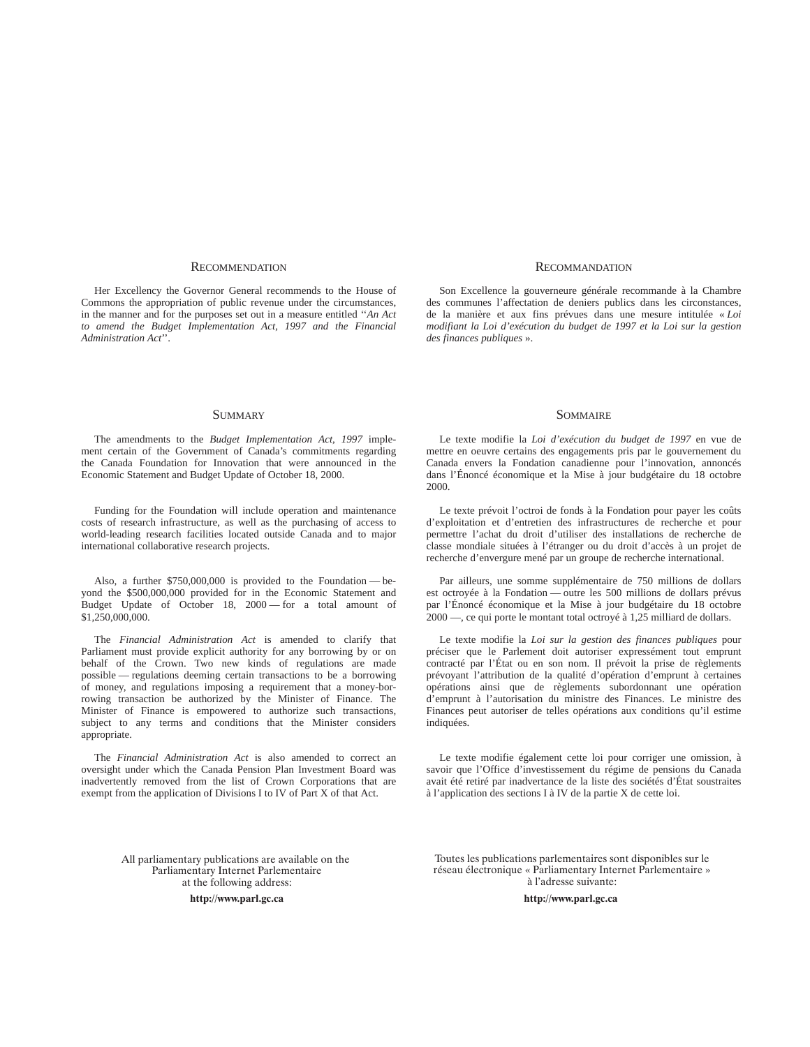#### RECOMMENDATION RECOMMANDATION

Her Excellency the Governor General recommends to the House of Commons the appropriation of public revenue under the circumstances, in the manner and for the purposes set out in a measure entitled ''*An Act to amend the Budget Implementation Act, 1997 and the Financial Administration Act*''.

Son Excellence la gouverneure générale recommande à la Chambre des communes l'affectation de deniers publics dans les circonstances, de la manière et aux fins prévues dans une mesure intitulée « *Loi modifiant la Loi d'exécution du budget de 1997 et la Loi sur la gestion des finances publiques* ».

#### SUMMARY SOMMAIRE

The amendments to the *Budget Implementation Act, 1997* implement certain of the Government of Canada's commitments regarding the Canada Foundation for Innovation that were announced in the Economic Statement and Budget Update of October 18, 2000.

Funding for the Foundation will include operation and maintenance costs of research infrastructure, as well as the purchasing of access to world-leading research facilities located outside Canada and to major international collaborative research projects.

Also, a further \$750,000,000 is provided to the Foundation — beyond the \$500,000,000 provided for in the Economic Statement and Budget Update of October 18, 2000 — for a total amount of \$1,250,000,000.

The *Financial Administration Act* is amended to clarify that Parliament must provide explicit authority for any borrowing by or on behalf of the Crown. Two new kinds of regulations are made possible — regulations deeming certain transactions to be a borrowing of money, and regulations imposing a requirement that a money-borrowing transaction be authorized by the Minister of Finance. The Minister of Finance is empowered to authorize such transactions, subject to any terms and conditions that the Minister considers appropriate.

The *Financial Administration Act* is also amended to correct an oversight under which the Canada Pension Plan Investment Board was inadvertently removed from the list of Crown Corporations that are exempt from the application of Divisions I to IV of Part X of that Act.

Le texte modifie la *Loi d'exécution du budget de 1997* en vue de mettre en oeuvre certains des engagements pris par le gouvernement du Canada envers la Fondation canadienne pour l'innovation, annoncés dans l'Énoncé économique et la Mise à jour budgétaire du 18 octobre 2000.

Le texte prévoit l'octroi de fonds à la Fondation pour payer les coûts d'exploitation et d'entretien des infrastructures de recherche et pour permettre l'achat du droit d'utiliser des installations de recherche de classe mondiale situées à l'étranger ou du droit d'accès à un projet de recherche d'envergure mené par un groupe de recherche international.

Par ailleurs, une somme supplémentaire de 750 millions de dollars est octroyée à la Fondation — outre les 500 millions de dollars prévus par l'Énoncé économique et la Mise à jour budgétaire du 18 octobre 2000 —, ce qui porte le montant total octroyé à 1,25 milliard de dollars.

Le texte modifie la *Loi sur la gestion des finances publiques* pour préciser que le Parlement doit autoriser expressément tout emprunt contracté par l'État ou en son nom. Il prévoit la prise de règlements prévoyant l'attribution de la qualité d'opération d'emprunt à certaines opérations ainsi que de règlements subordonnant une opération d'emprunt à l'autorisation du ministre des Finances. Le ministre des Finances peut autoriser de telles opérations aux conditions qu'il estime indiquées.

Le texte modifie également cette loi pour corriger une omission, à savoir que l'Office d'investissement du régime de pensions du Canada avait été retiré par inadvertance de la liste des sociétés d'État soustraites à l'application des sections I à IV de la partie X de cette loi.

All parliamentary publications are available on the Parliamentary Internet Parlementaire at the following address:

> http://www.parl gc.ca ht

Toutes les publications parlementaires sont disponibles sur le réseau électronique « Parliamentary Internet Parlementaire » à l'adresse suivante:

tp://www.parl.gc.ca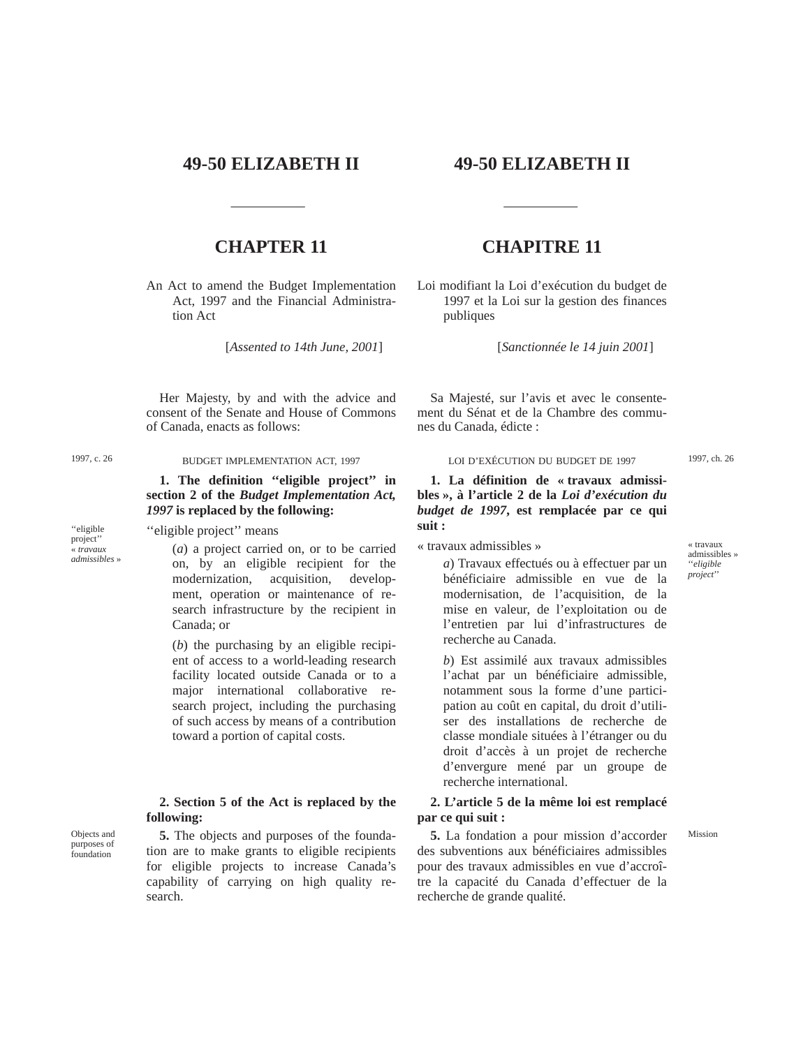## **49-50 ELIZABETH II 49-50 ELIZABETH II**

An Act to amend the Budget Implementation Act, 1997 and the Financial Administration Act

[*Assented to 14th June, 2001*]

Her Majesty, by and with the advice and consent of the Senate and House of Commons of Canada, enacts as follows:

''eligible project'' « *travaux admissibles* »

**1. The definition ''eligible project'' in section 2 of the** *Budget Implementation Act, 1997* **is replaced by the following:**

"eligible project" means

(*a*) a project carried on, or to be carried on, by an eligible recipient for the modernization, acquisition, development, operation or maintenance of research infrastructure by the recipient in Canada; or

(*b*) the purchasing by an eligible recipient of access to a world-leading research facility located outside Canada or to a major international collaborative research project, including the purchasing of such access by means of a contribution toward a portion of capital costs.

### **2. Section 5 of the Act is replaced by the following:**

Objects and purposes of foundation

**5.** The objects and purposes of the foundation are to make grants to eligible recipients for eligible projects to increase Canada's capability of carrying on high quality research.

## **CHAPTER 11 CHAPITRE 11**

Loi modifiant la Loi d'exécution du budget de 1997 et la Loi sur la gestion des finances publiques

[*Sanctionnée le 14 juin 2001*]

Sa Majesté, sur l'avis et avec le consentement du Sénat et de la Chambre des communes du Canada, édicte :

1997, c. 26 BUDGET IMPLEMENTATION ACT, 1997 1997 LOI D'EXÉCUTION DU BUDGET DE 1997 1997, ch. 26

**1. La définition de « travaux admissibles », à l'article 2 de la** *Loi d'exécution du budget de 1997***, est remplacée par ce qui suit :**

« travaux admissibles »

*a*) Travaux effectués ou à effectuer par un bénéficiaire admissible en vue de la modernisation, de l'acquisition, de la mise en valeur, de l'exploitation ou de l'entretien par lui d'infrastructures de recherche au Canada.

*b*) Est assimilé aux travaux admissibles l'achat par un bénéficiaire admissible, notamment sous la forme d'une participation au coût en capital, du droit d'utiliser des installations de recherche de classe mondiale situées à l'étranger ou du droit d'accès à un projet de recherche d'envergure mené par un groupe de recherche international.

### **2. L'article 5 de la même loi est remplacé par ce qui suit :**

**5.** La fondation a pour mission d'accorder Mission des subventions aux bénéficiaires admissibles pour des travaux admissibles en vue d'accroître la capacité du Canada d'effectuer de la recherche de grande qualité.

« travaux admissibles » ''*eligible project*''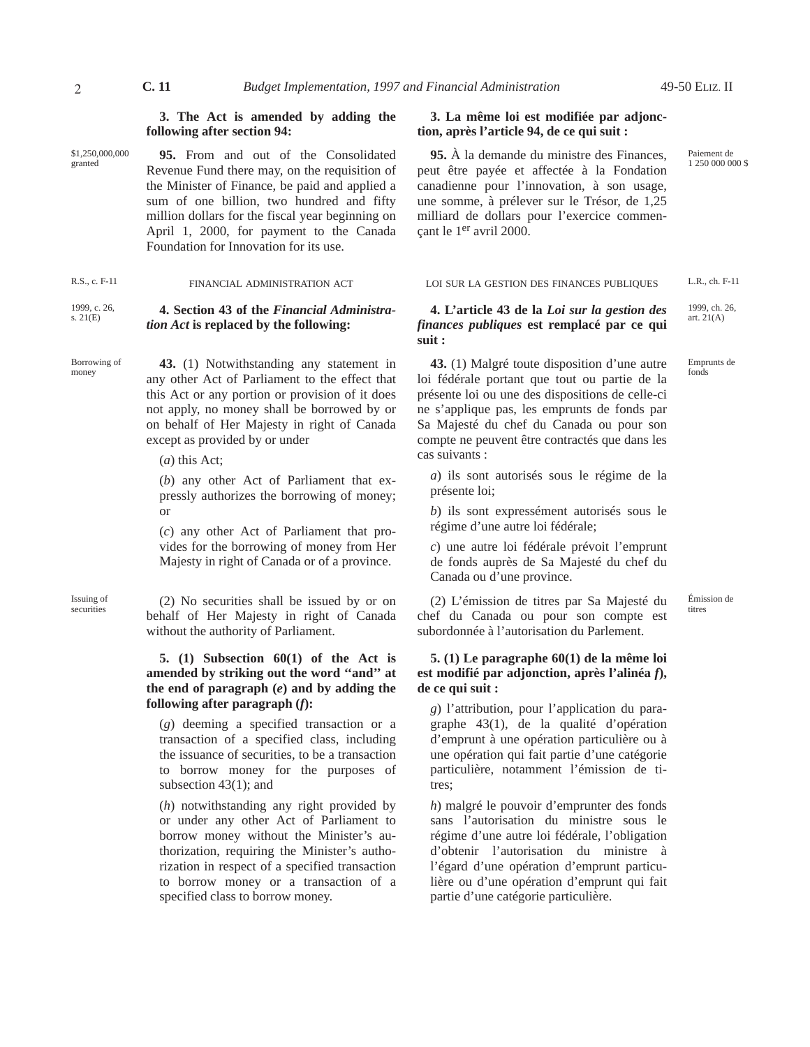Paiement de 1 250 000 000 \$

1999, ch. 26, art. 21(A)

Emprunts de fonds

### **3. The Act is amended by adding the following after section 94:**

\$1,250,000,000 granted

**95.** From and out of the Consolidated Revenue Fund there may, on the requisition of the Minister of Finance, be paid and applied a sum of one billion, two hundred and fifty million dollars for the fiscal year beginning on April 1, 2000, for payment to the Canada Foundation for Innovation for its use.

#### 1999, c. 26, s. 21(E) **4. Section 43 of the** *Financial Administration Act* **is replaced by the following:**

Borrowing of money

**43.** (1) Notwithstanding any statement in any other Act of Parliament to the effect that this Act or any portion or provision of it does not apply, no money shall be borrowed by or on behalf of Her Majesty in right of Canada except as provided by or under

(*a*) this Act;

(*b*) any other Act of Parliament that expressly authorizes the borrowing of money; or

(*c*) any other Act of Parliament that provides for the borrowing of money from Her Majesty in right of Canada or of a province.

Issuing of  $(2)$  No securities shall be issued by or on behalf of Her Majesty in right of Canada without the authority of Parliament.

### **5. (1) Subsection 60(1) of the Act is amended by striking out the word ''and'' at the end of paragraph (***e***) and by adding the following after paragraph (***f***):**

(*g*) deeming a specified transaction or a transaction of a specified class, including the issuance of securities, to be a transaction to borrow money for the purposes of subsection 43(1); and

(*h*) notwithstanding any right provided by or under any other Act of Parliament to borrow money without the Minister's authorization, requiring the Minister's authorization in respect of a specified transaction to borrow money or a transaction of a specified class to borrow money.

## **3. La même loi est modifiée par adjonction, après l'article 94, de ce qui suit :**

**95.** À la demande du ministre des Finances, peut être payée et affectée à la Fondation canadienne pour l'innovation, à son usage, une somme, à prélever sur le Trésor, de 1,25 milliard de dollars pour l'exercice commençant le 1er avril 2000.

R.S., c. F-11 FINANCIAL ADMINISTRATION ACT L.R., ch. F-11 FINANCIAL ADMINISTRATION ACT L.R., ch. F-11

**4. L'article 43 de la** *Loi sur la gestion des finances publiques* **est remplacé par ce qui suit :**

**43.** (1) Malgré toute disposition d'une autre loi fédérale portant que tout ou partie de la présente loi ou une des dispositions de celle-ci ne s'applique pas, les emprunts de fonds par Sa Majesté du chef du Canada ou pour son compte ne peuvent être contractés que dans les cas suivants :

*a*) ils sont autorisés sous le régime de la présente loi;

*b*) ils sont expressément autorisés sous le régime d'une autre loi fédérale;

*c*) une autre loi fédérale prévoit l'emprunt de fonds auprès de Sa Majesté du chef du Canada ou d'une province.

titres (2) L'émission de titres par Sa Majesté du chef du Canada ou pour son compte est subordonnée à l'autorisation du Parlement.

Émission de

### **5. (1) Le paragraphe 60(1) de la même loi est modifié par adjonction, après l'alinéa** *f***), de ce qui suit :**

*g*) l'attribution, pour l'application du paragraphe 43(1), de la qualité d'opération d'emprunt à une opération particulière ou à une opération qui fait partie d'une catégorie particulière, notamment l'émission de titres;

*h*) malgré le pouvoir d'emprunter des fonds sans l'autorisation du ministre sous le régime d'une autre loi fédérale, l'obligation d'obtenir l'autorisation du ministre à l'égard d'une opération d'emprunt particulière ou d'une opération d'emprunt qui fait partie d'une catégorie particulière.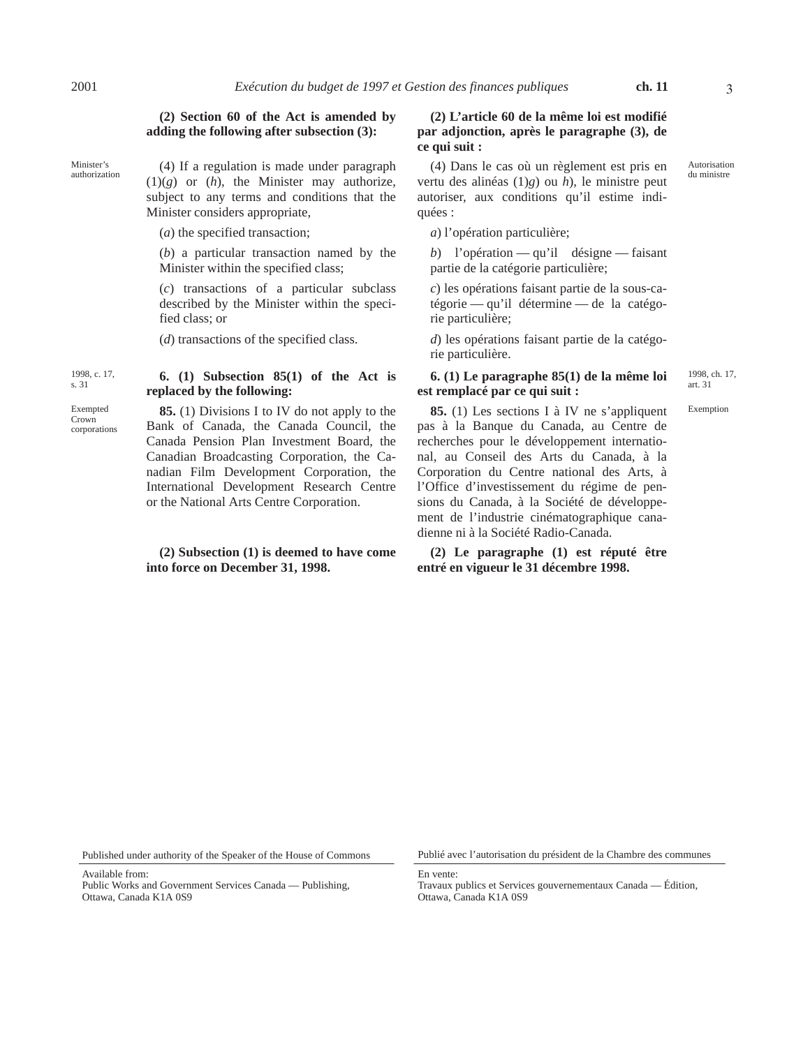#### **(2) Section 60 of the Act is amended by adding the following after subsection (3):**

Minister's<br>authorization

 $(4)$  If a regulation is made under paragraph (1)(*g*) or (*h*), the Minister may authorize, subject to any terms and conditions that the Minister considers appropriate,

(*a*) the specified transaction;

(*b*) a particular transaction named by the Minister within the specified class;

(*c*) transactions of a particular subclass described by the Minister within the specified class; or

(*d*) transactions of the specified class.

#### 1998, c. 17, s. 31 **6. (1) Subsection 85(1) of the Act is replaced by the following:**

Exempted Crown corporations

## **85.** (1) Divisions I to IV do not apply to the Bank of Canada, the Canada Council, the Canada Pension Plan Investment Board, the Canadian Broadcasting Corporation, the Canadian Film Development Corporation, the International Development Research Centre or the National Arts Centre Corporation.

### **(2) Subsection (1) is deemed to have come into force on December 31, 1998.**

## **(2) L'article 60 de la même loi est modifié par adjonction, après le paragraphe (3), de ce qui suit :**

(4) Dans le cas où un règlement est pris en vertu des alinéas (1)*g*) ou *h*), le ministre peut autoriser, aux conditions qu'il estime indiquées :

*a*) l'opération particulière;

*b*) l'opération — qu'il désigne — faisant partie de la catégorie particulière;

*c*) les opérations faisant partie de la sous-catégorie — qu'il détermine — de la catégorie particulière;

*d*) les opérations faisant partie de la catégorie particulière.

### art. 31 **6. (1) Le paragraphe 85(1) de la même loi est remplacé par ce qui suit :**

1998, ch. 17,

**85.** (1) Les sections I à IV ne s'appliquent Exemption pas à la Banque du Canada, au Centre de recherches pour le développement international, au Conseil des Arts du Canada, à la Corporation du Centre national des Arts, à l'Office d'investissement du régime de pensions du Canada, à la Société de développement de l'industrie cinématographique canadienne ni à la Société Radio-Canada.

**(2) Le paragraphe (1) est réputé être entré en vigueur le 31 décembre 1998.**

Published under authority of the Speaker of the House of Commons Publié avec l'autorisation du président de la Chambre des communes

Available from: Public Works and Government Services Canada — Publishing, Ottawa, Canada K1A 0S9

En vente: Travaux publics et Services gouvernementaux Canada — Édition, Ottawa, Canada K1A 0S9

Autorisation<br>du ministre